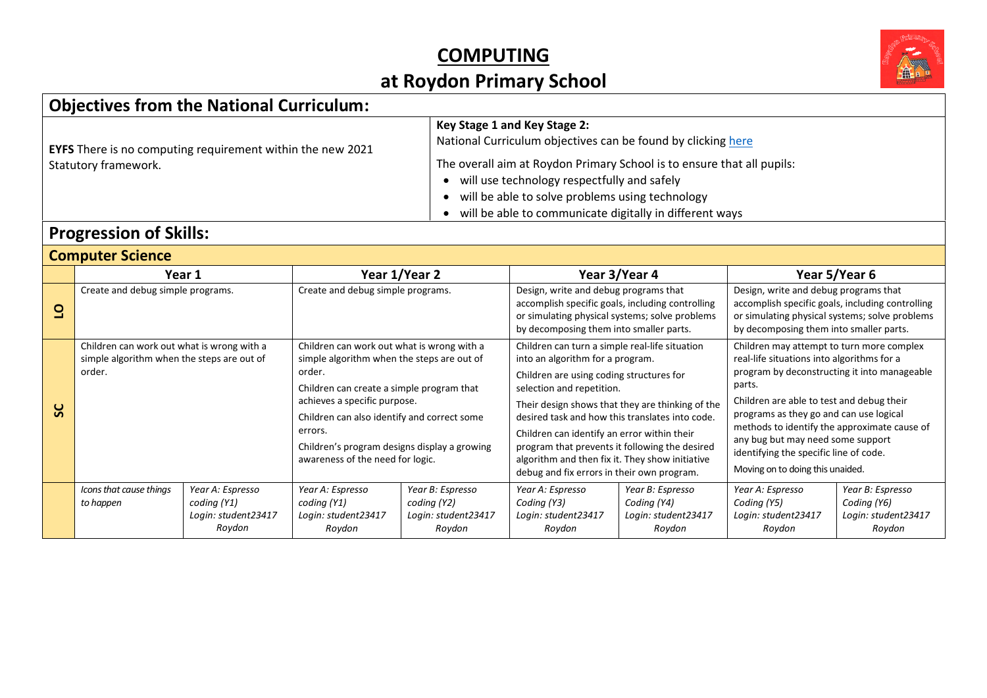

## **Objectives from the National Curriculum:**

| <b>EYFS</b> There is no computing requirement within the new 2021<br>Statutory framework. | Key Stage 1 and Key Stage 2:<br>National Curriculum objectives can be found by clicking here<br>The overall aim at Roydon Primary School is to ensure that all pupils:<br>will use technology respectfully and safely<br>will be able to solve problems using technology<br>will be able to communicate digitally in different ways |
|-------------------------------------------------------------------------------------------|-------------------------------------------------------------------------------------------------------------------------------------------------------------------------------------------------------------------------------------------------------------------------------------------------------------------------------------|
|-------------------------------------------------------------------------------------------|-------------------------------------------------------------------------------------------------------------------------------------------------------------------------------------------------------------------------------------------------------------------------------------------------------------------------------------|

#### **Progression of Skills:**

|         | <b>Computer Science</b>                                                                            |                                 |                                                                                                                                                                                                                                                                                                                               |                                 |                                                                                                                                                                                                                                                                                                                                                                                                                                                                      |                                 |                                                                                                                                                                                                                                                                                                                                                                                                              |                                 |  |  |
|---------|----------------------------------------------------------------------------------------------------|---------------------------------|-------------------------------------------------------------------------------------------------------------------------------------------------------------------------------------------------------------------------------------------------------------------------------------------------------------------------------|---------------------------------|----------------------------------------------------------------------------------------------------------------------------------------------------------------------------------------------------------------------------------------------------------------------------------------------------------------------------------------------------------------------------------------------------------------------------------------------------------------------|---------------------------------|--------------------------------------------------------------------------------------------------------------------------------------------------------------------------------------------------------------------------------------------------------------------------------------------------------------------------------------------------------------------------------------------------------------|---------------------------------|--|--|
|         |                                                                                                    | Year 1                          |                                                                                                                                                                                                                                                                                                                               | Year 1/Year 2                   |                                                                                                                                                                                                                                                                                                                                                                                                                                                                      | Year 3/Year 4                   |                                                                                                                                                                                                                                                                                                                                                                                                              | Year 5/Year 6                   |  |  |
| $\circ$ | Create and debug simple programs.                                                                  |                                 | Create and debug simple programs.                                                                                                                                                                                                                                                                                             |                                 | Design, write and debug programs that<br>accomplish specific goals, including controlling<br>or simulating physical systems; solve problems<br>by decomposing them into smaller parts.                                                                                                                                                                                                                                                                               |                                 | Design, write and debug programs that<br>accomplish specific goals, including controlling<br>or simulating physical systems; solve problems<br>by decomposing them into smaller parts.                                                                                                                                                                                                                       |                                 |  |  |
| ပ္တ     | Children can work out what is wrong with a<br>simple algorithm when the steps are out of<br>order. |                                 | Children can work out what is wrong with a<br>simple algorithm when the steps are out of<br>order.<br>Children can create a simple program that<br>achieves a specific purpose.<br>Children can also identify and correct some<br>errors.<br>Children's program designs display a growing<br>awareness of the need for logic. |                                 | Children can turn a simple real-life situation<br>into an algorithm for a program.<br>Children are using coding structures for<br>selection and repetition.<br>Their design shows that they are thinking of the<br>desired task and how this translates into code.<br>Children can identify an error within their<br>program that prevents it following the desired<br>algorithm and then fix it. They show initiative<br>debug and fix errors in their own program. |                                 | Children may attempt to turn more complex<br>real-life situations into algorithms for a<br>program by deconstructing it into manageable<br>parts.<br>Children are able to test and debug their<br>programs as they go and can use logical<br>methods to identify the approximate cause of<br>any bug but may need some support<br>identifying the specific line of code.<br>Moving on to doing this unaided. |                                 |  |  |
|         | Icons that cause things<br>to happen                                                               | Year A: Espresso<br>coding (Y1) | Year A: Espresso<br>coding (Y1)                                                                                                                                                                                                                                                                                               | Year B: Espresso<br>coding (Y2) | Year A: Espresso<br>Coding (Y3)                                                                                                                                                                                                                                                                                                                                                                                                                                      | Year B: Espresso<br>Coding (Y4) | Year A: Espresso<br>Coding (Y5)                                                                                                                                                                                                                                                                                                                                                                              | Year B: Espresso<br>Coding (Y6) |  |  |
|         |                                                                                                    | Login: student23417             | Login: student23417                                                                                                                                                                                                                                                                                                           | Login: student23417             | Login: student23417                                                                                                                                                                                                                                                                                                                                                                                                                                                  | Login: student23417             | Login: student23417                                                                                                                                                                                                                                                                                                                                                                                          | Login: student23417             |  |  |
|         |                                                                                                    | Roydon                          | Roydon                                                                                                                                                                                                                                                                                                                        | Roydon                          | Roydon                                                                                                                                                                                                                                                                                                                                                                                                                                                               | Roydon                          | Roydon                                                                                                                                                                                                                                                                                                                                                                                                       | Roydon                          |  |  |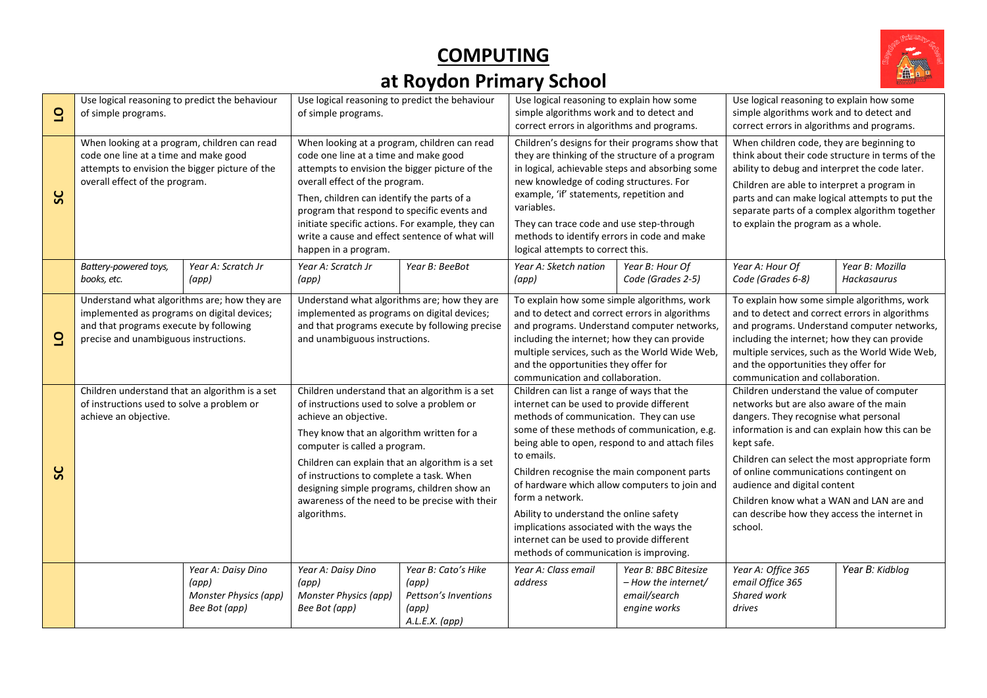

| $\overline{6}$ | Use logical reasoning to predict the behaviour<br>of simple programs.                                                                                                          |                                                                       | Use logical reasoning to predict the behaviour<br>of simple programs.                                                                                                                                                                                                                                                                                                                                              |                                                                                 | Use logical reasoning to explain how some<br>simple algorithms work and to detect and<br>correct errors in algorithms and programs.                                                                                                                                                                                                                                                                                                                                                                                                                  |                                                                              | Use logical reasoning to explain how some<br>simple algorithms work and to detect and<br>correct errors in algorithms and programs.                                                                                                                                                                                                                                                                                             |                                |  |  |
|----------------|--------------------------------------------------------------------------------------------------------------------------------------------------------------------------------|-----------------------------------------------------------------------|--------------------------------------------------------------------------------------------------------------------------------------------------------------------------------------------------------------------------------------------------------------------------------------------------------------------------------------------------------------------------------------------------------------------|---------------------------------------------------------------------------------|------------------------------------------------------------------------------------------------------------------------------------------------------------------------------------------------------------------------------------------------------------------------------------------------------------------------------------------------------------------------------------------------------------------------------------------------------------------------------------------------------------------------------------------------------|------------------------------------------------------------------------------|---------------------------------------------------------------------------------------------------------------------------------------------------------------------------------------------------------------------------------------------------------------------------------------------------------------------------------------------------------------------------------------------------------------------------------|--------------------------------|--|--|
| ပ္တ            | When looking at a program, children can read<br>code one line at a time and make good<br>attempts to envision the bigger picture of the<br>overall effect of the program.      |                                                                       | When looking at a program, children can read<br>code one line at a time and make good<br>attempts to envision the bigger picture of the<br>overall effect of the program.<br>Then, children can identify the parts of a<br>program that respond to specific events and<br>initiate specific actions. For example, they can<br>write a cause and effect sentence of what will<br>happen in a program.               |                                                                                 | Children's designs for their programs show that<br>they are thinking of the structure of a program<br>in logical, achievable steps and absorbing some<br>new knowledge of coding structures. For<br>example, 'if' statements, repetition and<br>variables.<br>They can trace code and use step-through<br>methods to identify errors in code and make<br>logical attempts to correct this.                                                                                                                                                           |                                                                              | When children code, they are beginning to<br>think about their code structure in terms of the<br>ability to debug and interpret the code later.<br>Children are able to interpret a program in<br>parts and can make logical attempts to put the<br>separate parts of a complex algorithm together<br>to explain the program as a whole.                                                                                        |                                |  |  |
|                | Battery-powered toys,<br>books, etc.                                                                                                                                           | Year A: Scratch Jr<br>(app)                                           | Year A: Scratch Jr<br>(app)                                                                                                                                                                                                                                                                                                                                                                                        | Year B: BeeBot                                                                  | Year A: Sketch nation<br>(app)                                                                                                                                                                                                                                                                                                                                                                                                                                                                                                                       | Year B: Hour Of<br>Year A: Hour Of<br>Code (Grades 2-5)<br>Code (Grades 6-8) |                                                                                                                                                                                                                                                                                                                                                                                                                                 | Year B: Mozilla<br>Hackasaurus |  |  |
| $\overline{a}$ | Understand what algorithms are; how they are<br>implemented as programs on digital devices;<br>and that programs execute by following<br>precise and unambiguous instructions. |                                                                       | Understand what algorithms are; how they are<br>implemented as programs on digital devices;<br>and that programs execute by following precise<br>and unambiguous instructions.                                                                                                                                                                                                                                     |                                                                                 | To explain how some simple algorithms, work<br>and to detect and correct errors in algorithms<br>and programs. Understand computer networks,<br>including the internet; how they can provide<br>multiple services, such as the World Wide Web,<br>and the opportunities they offer for<br>communication and collaboration.                                                                                                                                                                                                                           |                                                                              | To explain how some simple algorithms, work<br>and to detect and correct errors in algorithms<br>and programs. Understand computer networks,<br>including the internet; how they can provide<br>multiple services, such as the World Wide Web,<br>and the opportunities they offer for<br>communication and collaboration.                                                                                                      |                                |  |  |
| ပ္တ            | Children understand that an algorithm is a set<br>of instructions used to solve a problem or<br>achieve an objective.                                                          |                                                                       | Children understand that an algorithm is a set<br>of instructions used to solve a problem or<br>achieve an objective.<br>They know that an algorithm written for a<br>computer is called a program.<br>Children can explain that an algorithm is a set<br>of instructions to complete a task. When<br>designing simple programs, children show an<br>awareness of the need to be precise with their<br>algorithms. |                                                                                 | Children can list a range of ways that the<br>internet can be used to provide different<br>methods of communication. They can use<br>some of these methods of communication, e.g.<br>being able to open, respond to and attach files<br>to emails.<br>Children recognise the main component parts<br>of hardware which allow computers to join and<br>form a network.<br>Ability to understand the online safety<br>implications associated with the ways the<br>internet can be used to provide different<br>methods of communication is improving. |                                                                              | Children understand the value of computer<br>networks but are also aware of the main<br>dangers. They recognise what personal<br>information is and can explain how this can be<br>kept safe.<br>Children can select the most appropriate form<br>of online communications contingent on<br>audience and digital content<br>Children know what a WAN and LAN are and<br>can describe how they access the internet in<br>school. |                                |  |  |
|                |                                                                                                                                                                                | Year A: Daisy Dino<br>(app)<br>Monster Physics (app)<br>Bee Bot (app) | Year A: Daisy Dino<br>(app)<br>Monster Physics (app)<br>Bee Bot (app)                                                                                                                                                                                                                                                                                                                                              | Year B: Cato's Hike<br>(app)<br>Pettson's Inventions<br>(app)<br>A.L.E.X. (app) | Year A: Class email<br>address                                                                                                                                                                                                                                                                                                                                                                                                                                                                                                                       | Year B: BBC Bitesize<br>- How the internet/<br>email/search<br>engine works  | Year A: Office 365<br>email Office 365<br>Shared work<br>drives                                                                                                                                                                                                                                                                                                                                                                 | Year B: Kidblog                |  |  |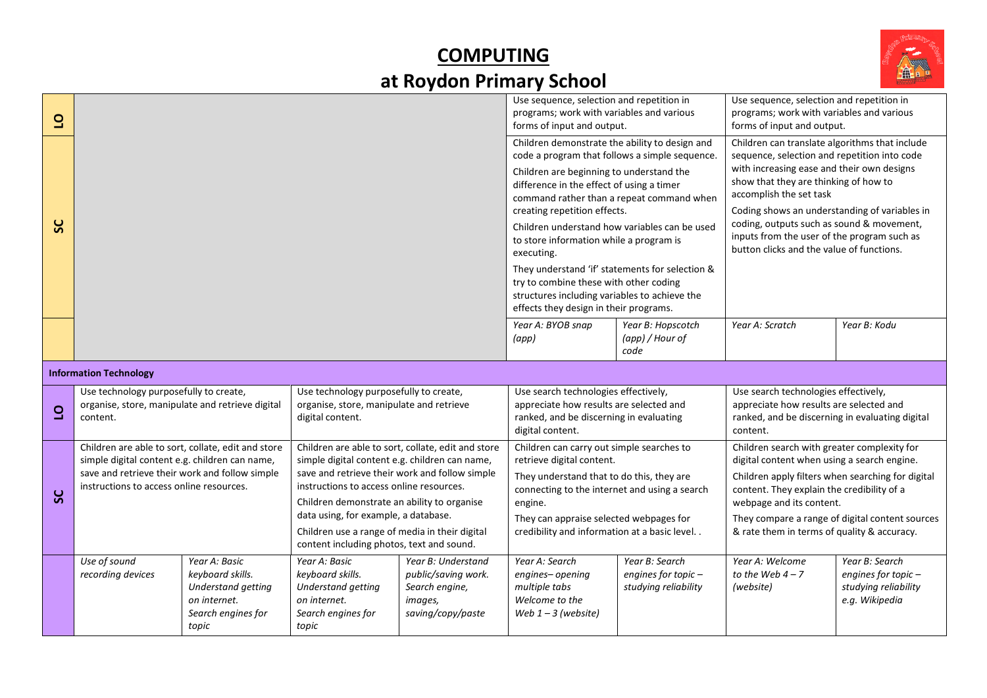

| $\overline{6}$ |                                                                                                                                                                                                    |                                                                                                        |                                                                                                                                                                                                                                                                                                                                                                                          |                                                                                                                                                                                      | Use sequence, selection and repetition in<br>programs; work with variables and various                                                                                                                                                                                     |                                                                                                                                       | Use sequence, selection and repetition in<br>programs; work with variables and various                                                                                                                                                                                                                                      |                                                                                 |
|----------------|----------------------------------------------------------------------------------------------------------------------------------------------------------------------------------------------------|--------------------------------------------------------------------------------------------------------|------------------------------------------------------------------------------------------------------------------------------------------------------------------------------------------------------------------------------------------------------------------------------------------------------------------------------------------------------------------------------------------|--------------------------------------------------------------------------------------------------------------------------------------------------------------------------------------|----------------------------------------------------------------------------------------------------------------------------------------------------------------------------------------------------------------------------------------------------------------------------|---------------------------------------------------------------------------------------------------------------------------------------|-----------------------------------------------------------------------------------------------------------------------------------------------------------------------------------------------------------------------------------------------------------------------------------------------------------------------------|---------------------------------------------------------------------------------|
|                |                                                                                                                                                                                                    |                                                                                                        |                                                                                                                                                                                                                                                                                                                                                                                          |                                                                                                                                                                                      | forms of input and output.                                                                                                                                                                                                                                                 |                                                                                                                                       | forms of input and output.                                                                                                                                                                                                                                                                                                  |                                                                                 |
|                |                                                                                                                                                                                                    |                                                                                                        |                                                                                                                                                                                                                                                                                                                                                                                          |                                                                                                                                                                                      | Children demonstrate the ability to design and<br>code a program that follows a simple sequence.                                                                                                                                                                           |                                                                                                                                       | Children can translate algorithms that include<br>sequence, selection and repetition into code                                                                                                                                                                                                                              |                                                                                 |
|                |                                                                                                                                                                                                    |                                                                                                        |                                                                                                                                                                                                                                                                                                                                                                                          |                                                                                                                                                                                      | Children are beginning to understand the<br>difference in the effect of using a timer<br>command rather than a repeat command when                                                                                                                                         |                                                                                                                                       | with increasing ease and their own designs<br>show that they are thinking of how to<br>accomplish the set task<br>Coding shows an understanding of variables in                                                                                                                                                             |                                                                                 |
| SC             |                                                                                                                                                                                                    |                                                                                                        |                                                                                                                                                                                                                                                                                                                                                                                          | creating repetition effects.<br>Children understand how variables can be used<br>to store information while a program is<br>executing.                                               |                                                                                                                                                                                                                                                                            | coding, outputs such as sound & movement,<br>inputs from the user of the program such as<br>button clicks and the value of functions. |                                                                                                                                                                                                                                                                                                                             |                                                                                 |
|                |                                                                                                                                                                                                    |                                                                                                        |                                                                                                                                                                                                                                                                                                                                                                                          | They understand 'if' statements for selection &<br>try to combine these with other coding<br>structures including variables to achieve the<br>effects they design in their programs. |                                                                                                                                                                                                                                                                            |                                                                                                                                       |                                                                                                                                                                                                                                                                                                                             |                                                                                 |
|                |                                                                                                                                                                                                    |                                                                                                        |                                                                                                                                                                                                                                                                                                                                                                                          |                                                                                                                                                                                      | Year A: BYOB snap<br>(app)                                                                                                                                                                                                                                                 | Year B: Hopscotch<br>(app) / Hour of<br>code                                                                                          | Year A: Scratch                                                                                                                                                                                                                                                                                                             | Year B: Kodu                                                                    |
|                | <b>Information Technology</b>                                                                                                                                                                      |                                                                                                        |                                                                                                                                                                                                                                                                                                                                                                                          |                                                                                                                                                                                      |                                                                                                                                                                                                                                                                            |                                                                                                                                       |                                                                                                                                                                                                                                                                                                                             |                                                                                 |
| $\overline{a}$ | Use technology purposefully to create,<br>organise, store, manipulate and retrieve digital<br>content.                                                                                             |                                                                                                        | Use technology purposefully to create,<br>organise, store, manipulate and retrieve<br>digital content.                                                                                                                                                                                                                                                                                   |                                                                                                                                                                                      | Use search technologies effectively,<br>appreciate how results are selected and<br>ranked, and be discerning in evaluating<br>digital content.                                                                                                                             |                                                                                                                                       | Use search technologies effectively,<br>appreciate how results are selected and<br>ranked, and be discerning in evaluating digital<br>content.                                                                                                                                                                              |                                                                                 |
| ပ္တ            | Children are able to sort, collate, edit and store<br>simple digital content e.g. children can name,<br>save and retrieve their work and follow simple<br>instructions to access online resources. |                                                                                                        | Children are able to sort, collate, edit and store<br>simple digital content e.g. children can name,<br>save and retrieve their work and follow simple<br>instructions to access online resources.<br>Children demonstrate an ability to organise<br>data using, for example, a database.<br>Children use a range of media in their digital<br>content including photos, text and sound. |                                                                                                                                                                                      | Children can carry out simple searches to<br>retrieve digital content.<br>They understand that to do this, they are<br>connecting to the internet and using a search<br>engine.<br>They can appraise selected webpages for<br>credibility and information at a basic level |                                                                                                                                       | Children search with greater complexity for<br>digital content when using a search engine.<br>Children apply filters when searching for digital<br>content. They explain the credibility of a<br>webpage and its content.<br>They compare a range of digital content sources<br>& rate them in terms of quality & accuracy. |                                                                                 |
|                | Use of sound<br>recording devices                                                                                                                                                                  | Year A: Basic<br>keyboard skills.<br>Understand getting<br>on internet.<br>Search engines for<br>topic | Year A: Basic<br>keyboard skills.<br>Understand getting<br>on internet.<br>Search engines for<br>topic                                                                                                                                                                                                                                                                                   | Year B: Understand<br>public/saving work.<br>Search engine,<br>images,<br>saving/copy/paste                                                                                          | Year A: Search<br>engines-opening<br>multiple tabs<br>Welcome to the<br>Web $1 - 3$ (website)                                                                                                                                                                              | Year B: Search<br>engines for topic-<br>studying reliability                                                                          | Year A: Welcome<br>to the Web $4-7$<br>(website)                                                                                                                                                                                                                                                                            | Year B: Search<br>engines for topic -<br>studying reliability<br>e.g. Wikipedia |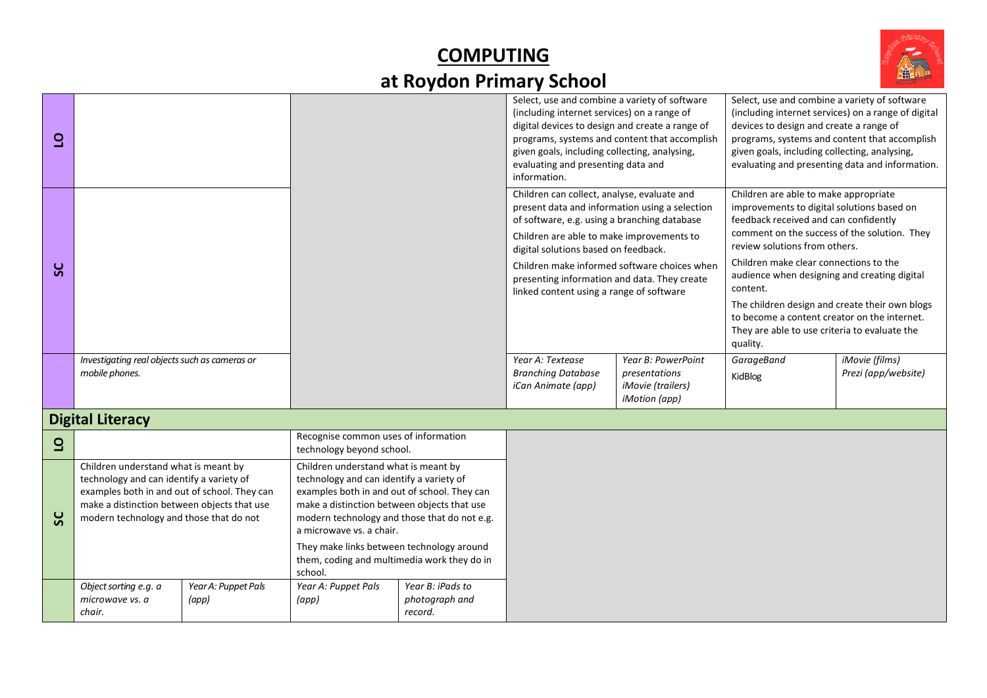

| $\overline{\mathsf{d}}$ |                                                                                                                                                                                                                            |  |                                                                                                                                                                                                                                                                                                          | Select, use and combine a variety of software<br>(including internet services) on a range of<br>digital devices to design and create a range of<br>given goals, including collecting, analysing,<br>evaluating and presenting data and<br>information. | programs, systems and content that accomplish                                                                                                                                                                                                                                                                                  | Select, use and combine a variety of software<br>(including internet services) on a range of digital<br>devices to design and create a range of<br>programs, systems and content that accomplish<br>given goals, including collecting, analysing,<br>evaluating and presenting data and information. |                                                                                                                                                                                                                                                                                                                                                                       |                                       |  |
|-------------------------|----------------------------------------------------------------------------------------------------------------------------------------------------------------------------------------------------------------------------|--|----------------------------------------------------------------------------------------------------------------------------------------------------------------------------------------------------------------------------------------------------------------------------------------------------------|--------------------------------------------------------------------------------------------------------------------------------------------------------------------------------------------------------------------------------------------------------|--------------------------------------------------------------------------------------------------------------------------------------------------------------------------------------------------------------------------------------------------------------------------------------------------------------------------------|------------------------------------------------------------------------------------------------------------------------------------------------------------------------------------------------------------------------------------------------------------------------------------------------------|-----------------------------------------------------------------------------------------------------------------------------------------------------------------------------------------------------------------------------------------------------------------------------------------------------------------------------------------------------------------------|---------------------------------------|--|
| ပ္တ                     |                                                                                                                                                                                                                            |  |                                                                                                                                                                                                                                                                                                          |                                                                                                                                                                                                                                                        | Children can collect, analyse, evaluate and<br>present data and information using a selection<br>of software, e.g. using a branching database<br>Children are able to make improvements to<br>digital solutions based on feedback.<br>presenting information and data. They create<br>linked content using a range of software | Children make informed software choices when                                                                                                                                                                                                                                                         | Children are able to make appropriate<br>improvements to digital solutions based on<br>feedback received and can confidently<br>comment on the success of the solution. They<br>review solutions from others.<br>Children make clear connections to the<br>audience when designing and creating digital<br>content.<br>The children design and create their own blogs |                                       |  |
|                         |                                                                                                                                                                                                                            |  |                                                                                                                                                                                                                                                                                                          |                                                                                                                                                                                                                                                        |                                                                                                                                                                                                                                                                                                                                |                                                                                                                                                                                                                                                                                                      | to become a content creator on the internet.<br>They are able to use criteria to evaluate the<br>quality.                                                                                                                                                                                                                                                             |                                       |  |
|                         | Investigating real objects such as cameras or<br>mobile phones.                                                                                                                                                            |  |                                                                                                                                                                                                                                                                                                          |                                                                                                                                                                                                                                                        | Year A: Textease<br><b>Branching Database</b><br>iCan Animate (app)                                                                                                                                                                                                                                                            | Year B: PowerPoint<br>presentations<br><i>iMovie</i> (trailers)<br>iMotion (app)                                                                                                                                                                                                                     | GarageBand<br>KidBlog                                                                                                                                                                                                                                                                                                                                                 | iMovie (films)<br>Prezi (app/website) |  |
|                         | <b>Digital Literacy</b>                                                                                                                                                                                                    |  |                                                                                                                                                                                                                                                                                                          |                                                                                                                                                                                                                                                        |                                                                                                                                                                                                                                                                                                                                |                                                                                                                                                                                                                                                                                                      |                                                                                                                                                                                                                                                                                                                                                                       |                                       |  |
| $\overline{6}$          |                                                                                                                                                                                                                            |  | Recognise common uses of information<br>technology beyond school.                                                                                                                                                                                                                                        |                                                                                                                                                                                                                                                        |                                                                                                                                                                                                                                                                                                                                |                                                                                                                                                                                                                                                                                                      |                                                                                                                                                                                                                                                                                                                                                                       |                                       |  |
| ပ္တ                     | Children understand what is meant by<br>technology and can identify a variety of<br>examples both in and out of school. They can<br>make a distinction between objects that use<br>modern technology and those that do not |  | Children understand what is meant by<br>technology and can identify a variety of<br>examples both in and out of school. They can<br>make a distinction between objects that use<br>modern technology and those that do not e.g.<br>a microwave vs. a chair.<br>They make links between technology around |                                                                                                                                                                                                                                                        |                                                                                                                                                                                                                                                                                                                                |                                                                                                                                                                                                                                                                                                      |                                                                                                                                                                                                                                                                                                                                                                       |                                       |  |
|                         | them, coding and multimedia work they do in<br>school.<br>Year A: Puppet Pals<br>Year B: iPads to<br>Object sorting e.g. a<br>Year A: Puppet Pals<br>photograph and<br>microwave vs. a<br>(app)<br>$\left( app\right)$     |  |                                                                                                                                                                                                                                                                                                          |                                                                                                                                                                                                                                                        |                                                                                                                                                                                                                                                                                                                                |                                                                                                                                                                                                                                                                                                      |                                                                                                                                                                                                                                                                                                                                                                       |                                       |  |
|                         | chair.                                                                                                                                                                                                                     |  |                                                                                                                                                                                                                                                                                                          | record.                                                                                                                                                                                                                                                |                                                                                                                                                                                                                                                                                                                                |                                                                                                                                                                                                                                                                                                      |                                                                                                                                                                                                                                                                                                                                                                       |                                       |  |